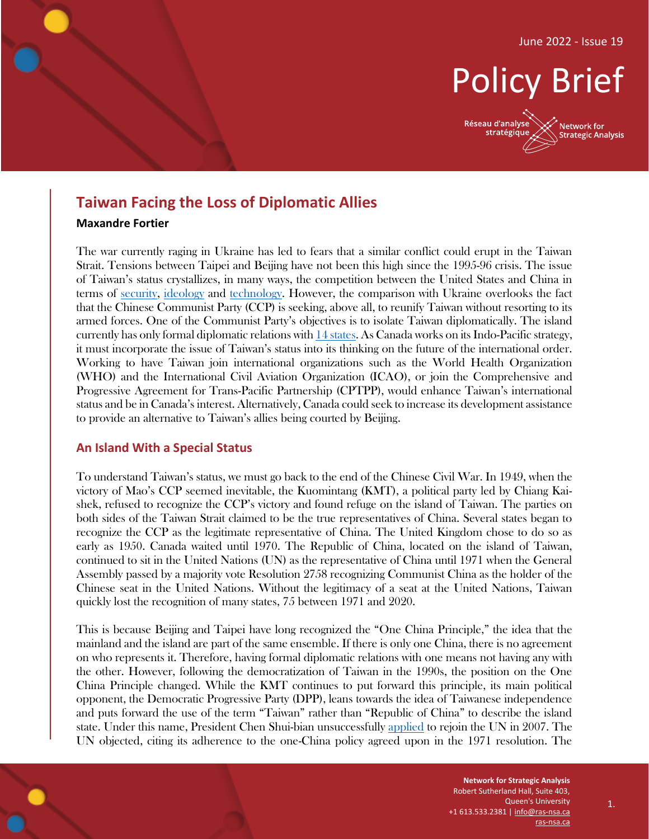Network for

**Strategic Analysis** 

Policy Brief

Réseau d'analyse

stratégique

# **Taiwan Facing the Loss of Diplomatic Allies**

#### **Maxandre Fortier**

The war currently raging in Ukraine has led to fears that a similar conflict could erupt in the Taiwan Strait. Tensions between Taipei and Beijing have not been this high since the 1995-96 crisis. The issue of Taiwan's status crystallizes, in many ways, the competition between the United States and China in terms of [security,](https://www.forbes.com/sites/lorenthompson/2020/09/29/why-taiwan-has-become-the-geographical-pivot-of-history-in-the-pacific-age/?sh=3882eb951921) [ideology](https://thehill.com/opinion/international/584582-to-advance-democracy-defend-taiwan-and-ukraine) and [technology.](https://www.reuters.com/investigates/special-report/taiwan-china-chips/) However, the comparison with Ukraine overlooks the fact that the Chinese Communist Party (CCP) is seeking, above all, to reunify Taiwan without resorting to its armed forces. One of the Communist Party's objectives is to isolate Taiwan diplomatically. The island currently has only formal diplomatic relations with [14 states.](https://www.aljazeera.com/news/2021/12/10/who-are-taiwan-diplomatic-allies) As Canada works on its Indo-Pacific strategy, it must incorporate the issue of Taiwan's status into its thinking on the future of the international order. Working to have Taiwan join international organizations such as the World Health Organization (WHO) and the International Civil Aviation Organization (ICAO), or join the Comprehensive and Progressive Agreement for Trans-Pacific Partnership (CPTPP), would enhance Taiwan's international status and be in Canada's interest. Alternatively, Canada could seek to increase its development assistance to provide an alternative to Taiwan's allies being courted by Beijing.

#### **An Island With a Special Status**

To understand Taiwan's status, we must go back to the end of the Chinese Civil War. In 1949, when the victory of Mao's CCP seemed inevitable, the Kuomintang (KMT), a political party led by Chiang Kaishek, refused to recognize the CCP's victory and found refuge on the island of Taiwan. The parties on both sides of the Taiwan Strait claimed to be the true representatives of China. Several states began to recognize the CCP as the legitimate representative of China. The United Kingdom chose to do so as early as 1950. Canada waited until 1970. The Republic of China, located on the island of Taiwan, continued to sit in the United Nations (UN) as the representative of China until 1971 when the General Assembly passed by a majority vote Resolution 2758 recognizing Communist China as the holder of the Chinese seat in the United Nations. Without the legitimacy of a seat at the United Nations, Taiwan quickly lost the recognition of many states, 75 between 1971 and 2020.

This is because Beijing and Taipei have long recognized the "One China Principle," the idea that the mainland and the island are part of the same ensemble. If there is only one China, there is no agreement on who represents it. Therefore, having formal diplomatic relations with one means not having any with the other. However, following the democratization of Taiwan in the 1990s, the position on the One China Principle changed. While the KMT continues to put forward this principle, its main political opponent, the Democratic Progressive Party (DPP), leans towards the idea of Taiwanese independence and puts forward the use of the term "Taiwan" rather than "Republic of China" to describe the island state. Under this name, President Chen Shui-bian unsuccessfully [applied](http://news.bbc.co.uk/2/hi/asia-pacific/6913020.stm) to rejoin the UN in 2007. The UN objected, citing its adherence to the one-China policy agreed upon in the 1971 resolution. The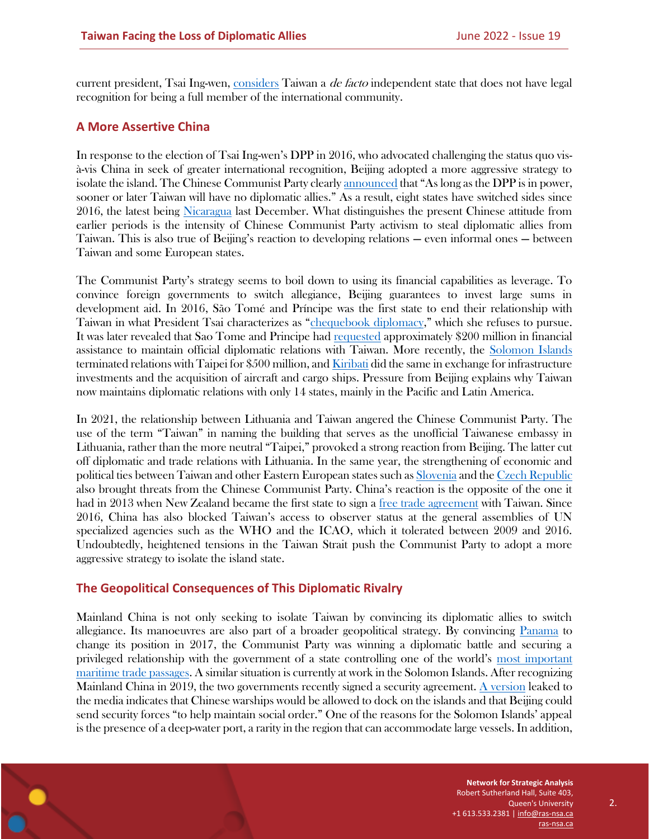current president, Tsai Ing-wen, [considers](https://thediplomat.com/2020/04/no-taiwans-president-isnt-pro-independence/) Taiwan a *de facto* independent state that does not have legal recognition for being a full member of the international community.

## **A More Assertive China**

In response to the election of Tsai Ing-wen's DPP in 2016, who advocated challenging the status quo visà-vis China in seek of greater international recognition, Beijing adopted a more aggressive strategy to isolate the island. The Chinese Communist Party clearl[y announced](https://www.scmp.com/news/china/diplomacy/article/3027673/re-elect-president-tsai-ing-wen-2020-and-taiwan-will-lose-all) that "As long as the DPP is in power, sooner or later Taiwan will have no diplomatic allies." As a result, eight states have switched sides since 2016, the latest being [Nicaragua](https://www.cnbc.com/2021/12/10/nicaragua-breaks-ties-with-taiwan-switches-allegiance-to-beijing.html) last December. What distinguishes the present Chinese attitude from earlier periods is the intensity of Chinese Communist Party activism to steal diplomatic allies from Taiwan. This is also true of Beijing's reaction to developing relations — even informal ones — between Taiwan and some European states.

The Communist Party's strategy seems to boil down to using its financial capabilities as leverage. To convince foreign governments to switch allegiance, Beijing guarantees to invest large sums in development aid. In 2016, São Tomé and Príncipe was the first state to end their relationship with Taiwan in what President Tsai characterizes as "[chequebook diplomacy](http://www.taipeitimes.com/News/taiwan/archives/2016/07/01/2003650102)," which she refuses to pursue. It was later revealed that Sao Tome and Principe had [requested](http://www.taipeitimes.com/News/front/archives/2016/12/22/2003661692) approximately \$200 million in financial assistance to maintain official diplomatic relations with Taiwan. More recently, the [Solomon Islands](https://www.abc.net.au/news/2019-09-18/solomon-islands-cuts-ties-with-taiwan-in-favour-of-china/11524118) terminated relations with Taipei for \$500 million, an[d Kiribati](https://www.reuters.com/article/us-taiwan-diplomacy-kiribati/taiwan-says-china-lures-kiribati-with-airplanes-after-losing-another-ally-idUSKBN1W50DI) did the same in exchange for infrastructure investments and the acquisition of aircraft and cargo ships. Pressure from Beijing explains why Taiwan now maintains diplomatic relations with only 14 states, mainly in the Pacific and Latin America.

In 2021, the relationship between Lithuania and Taiwan angered the Chinese Communist Party. The use of the term "Taiwan" in naming the building that serves as the unofficial Taiwanese embassy in Lithuania, rather than the more neutral "Taipei," provoked a strong reaction from Beijing. The latter cut off diplomatic and trade relations with Lithuania. In the same year, the strengthening of economic and political ties between Taiwan and other Eastern European states such a[s Slovenia](https://abcnews.go.com/International/wireStory/china-condemns-plans-slovenia-upgrade-taiwan-ties-82344576) and th[e Czech Republic](https://www.euractiv.com/section/politics/short_news/czech-officials-threatened-by-china-over-ties-with-taiwan/) also brought threats from the Chinese Communist Party. China's reaction is the opposite of the one it had in 2013 when New Zealand became the first state to sign a [free trade agreement](https://www.lowyinstitute.org/the-interpreter/win-win-new-zealand-taiwan-fta) with Taiwan. Since 2016, China has also blocked Taiwan's access to observer status at the general assemblies of UN specialized agencies such as the WHO and the ICAO, which it tolerated between 2009 and 2016. Undoubtedly, heightened tensions in the Taiwan Strait push the Communist Party to adopt a more aggressive strategy to isolate the island state.

# **The Geopolitical Consequences of This Diplomatic Rivalry**

Mainland China is not only seeking to isolate Taiwan by convincing its diplomatic allies to switch allegiance. Its manoeuvres are also part of a broader geopolitical strategy. By convincing [Panama](https://www.nytimes.com/2017/06/13/world/asia/taiwan-panama-china-diplomatic-recognition.html) to change its position in 2017, the Communist Party was winning a diplomatic battle and securing a privileged relationship with the government of a state controlling one of the world's [most important](https://www.investmentmonitor.ai/sectors/distribution/panama-suez-canals-important-trade)  [maritime trade passages.](https://www.investmentmonitor.ai/sectors/distribution/panama-suez-canals-important-trade) A similar situation is currently at work in the Solomon Islands. After recognizing Mainland China in 2019, the two governments recently signed a security agreement. [A version](https://www.bbc.com/news/world-australia-60870238) leaked to the media indicates that Chinese warships would be allowed to dock on the islands and that Beijing could send security forces "to help maintain social order." One of the reasons for the Solomon Islands' appeal is the presence of a deep-water port, a rarity in the region that can accommodate large vessels. In addition,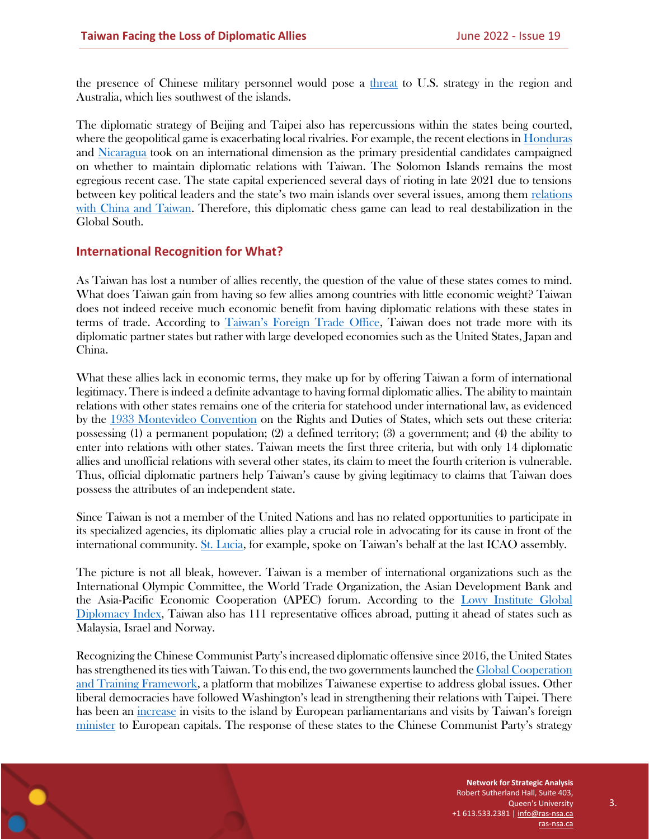the presence of Chinese military personnel would pose a [threat](https://www.bbc.com/news/world-australia-61158146) to U.S. strategy in the region and Australia, which lies southwest of the islands.

The diplomatic strategy of Beijing and Taipei also has repercussions within the states being courted, where the geopolitical game is exacerbating local rivalries. For example, the recent elections in [Honduras](https://www.reuters.com/markets/commodities/united-states-china-tussle-over-honduras-it-weighs-taiwan-ties-2021-11-26/) and [Nicaragua](https://www.reuters.com/world/china/nicaragua-breaks-ties-with-taiwan-switches-allegiance-beijing-2021-12-09/) took on an international dimension as the primary presidential candidates campaigned on whether to maintain diplomatic relations with Taiwan. The Solomon Islands remains the most egregious recent case. The state capital experienced several days of rioting in late 2021 due to tensions between key political leaders and the state's two main islands over several issues, among them [relations](https://thediplomat.com/2021/12/taiwan-must-avoid-pouring-fuel-on-solomon-islands-fire/)  [with China and Taiwan.](https://thediplomat.com/2021/12/taiwan-must-avoid-pouring-fuel-on-solomon-islands-fire/) Therefore, this diplomatic chess game can lead to real destabilization in the Global South.

# **International Recognition for What?**

As Taiwan has lost a number of allies recently, the question of the value of these states comes to mind. What does Taiwan gain from having so few allies among countries with little economic weight? Taiwan does not indeed receive much economic benefit from having diplomatic relations with these states in terms of trade. According to [Taiwan's Foreign Trade Office](https://cuswebo.trade.gov.tw/FSCE030F/FSCE030F?menuURL=FSCE030F), Taiwan does not trade more with its diplomatic partner states but rather with large developed economies such as the United States, Japan and China.

What these allies lack in economic terms, they make up for by offering Taiwan a form of international legitimacy. There is indeed a definite advantage to having formal diplomatic allies. The ability to maintain relations with other states remains one of the criteria for statehood under international law, as evidenced by the [1933 Montevideo Convention](http://danielturpqc.org/upload/Convention_concernant_les_droits_et_devoirs_des_Etats_Convention_de_Montevideo_1933.pdf) on the Rights and Duties of States, which sets out these criteria: possessing (1) a permanent population; (2) a defined territory; (3) a government; and (4) the ability to enter into relations with other states. Taiwan meets the first three criteria, but with only 14 diplomatic allies and unofficial relations with several other states, its claim to meet the fourth criterion is vulnerable. Thus, official diplomatic partners help Taiwan's cause by giving legitimacy to claims that Taiwan does possess the attributes of an independent state.

Since Taiwan is not a member of the United Nations and has no related opportunities to participate in its specialized agencies, its diplomatic allies play a crucial role in advocating for its cause in front of the international community. [St. Lucia](https://en.rti.org.tw/news/view/id/2001959), for example, spoke on Taiwan's behalf at the last ICAO assembly.

The picture is not all bleak, however. Taiwan is a member of international organizations such as the International Olympic Committee, the World Trade Organization, the Asian Development Bank and the Asia-Pacific Economic Cooperation (APEC) forum. According to the [Lowy Institute Global](https://globaldiplomacyindex.lowyinstitute.org/)  [Diplomacy Index,](https://globaldiplomacyindex.lowyinstitute.org/) Taiwan also has 111 representative offices abroad, putting it ahead of states such as Malaysia, Israel and Norway.

Recognizing the Chinese Communist Party's increased diplomatic offensive since 2016, the United States has strengthened its ties with Taiwan. To this end, the two governments launched th[e Global Cooperation](https://www.gctf.tw/en/IdeaPurpose.htm)  [and Training Framework,](https://www.gctf.tw/en/IdeaPurpose.htm) a platform that mobilizes Taiwanese expertise to address global issues. Other liberal democracies have followed Washington's lead in strengthening their relations with Taipei. There has been an [increase](https://taiwantoday.tw/news.php?unit=2&post=217242) in visits to the island by European parliamentarians and visits by Taiwan's foreign [minister](https://www.politico.eu/article/joseph-wu-taiwan-brussels-beijing-czech-republic-slovakia-diplomacy/) to European capitals. The response of these states to the Chinese Communist Party's strategy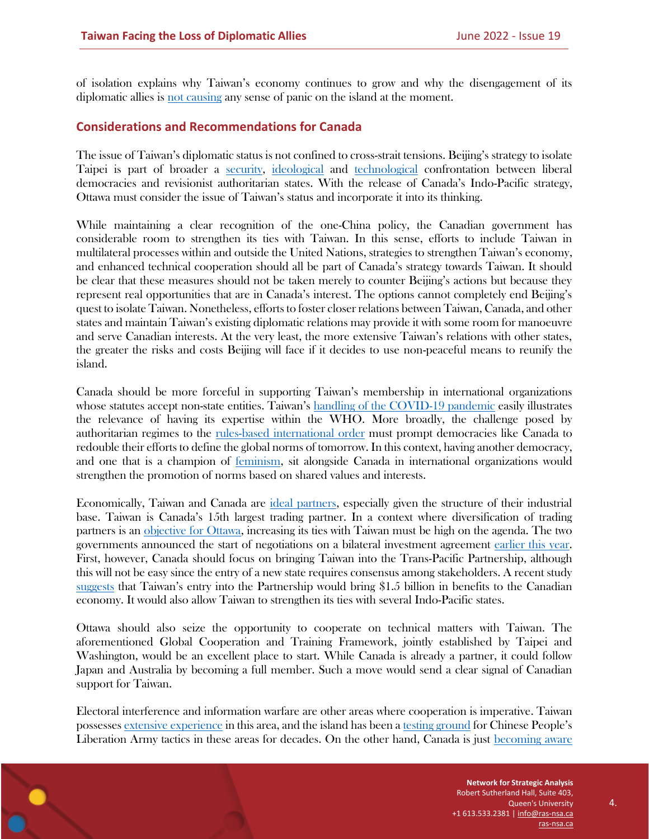of isolation explains why Taiwan's economy continues to grow and why the disengagement of its diplomatic allies is [not causing](https://focustaiwan.tw/politics/202202020001) any sense of panic on the island at the moment.

## **Considerations and Recommendations for Canada**

The issue of Taiwan's diplomatic status is not confined to cross-strait tensions. Beijing's strategy to isolate Taipei is part of broader a [security,](https://www.forbes.com/sites/lorenthompson/2020/09/29/why-taiwan-has-become-the-geographical-pivot-of-history-in-the-pacific-age/?sh=3882eb951921) [ideological](https://thehill.com/opinion/international/584582-to-advance-democracy-defend-taiwan-and-ukraine) and [technological](https://www.reuters.com/investigates/special-report/taiwan-china-chips/) confrontation between liberal democracies and revisionist authoritarian states. With the release of Canada's Indo-Pacific strategy, Ottawa must consider the issue of Taiwan's status and incorporate it into its thinking.

While maintaining a clear recognition of the one-China policy, the Canadian government has considerable room to strengthen its ties with Taiwan. In this sense, efforts to include Taiwan in multilateral processes within and outside the United Nations, strategies to strengthen Taiwan's economy, and enhanced technical cooperation should all be part of Canada's strategy towards Taiwan. It should be clear that these measures should not be taken merely to counter Beijing's actions but because they represent real opportunities that are in Canada's interest. The options cannot completely end Beijing's quest to isolate Taiwan. Nonetheless, efforts to foster closer relations between Taiwan, Canada, and other states and maintain Taiwan's existing diplomatic relations may provide it with some room for manoeuvre and serve Canadian interests. At the very least, the more extensive Taiwan's relations with other states, the greater the risks and costs Beijing will face if it decides to use non-peaceful means to reunify the island.

Canada should be more forceful in supporting Taiwan's membership in international organizations whose statutes accept non-state entities. Taiwan's [handling of the COVID-19 pandemic](https://thediplomat.com/2021/07/why-taiwan-is-beating-covid-19-again/) easily illustrates the relevance of having its expertise within the WHO. More broadly, the challenge posed by authoritarian regimes to the [rules-based international order](https://www.theatlantic.com/international/archive/2021/12/china-wants-rule-world-controlling-rules/620890/) must prompt democracies like Canada to redouble their efforts to define the global norms of tomorrow. In this context, having another democracy, and one that is a champion of [feminism,](https://www.bbc.com/news/world-asia-36309137) sit alongside Canada in international organizations would strengthen the promotion of norms based on shared values and interests.

Economically, Taiwan and Canada are [ideal partners,](https://www.cgai.ca/growing_canada_taiwan_trade_and_investment_co_operation#_ftn3) especially given the structure of their industrial base. Taiwan is Canada's 15th largest trading partner. In a context where diversification of trading partners is an [objective for Ottawa,](https://www.international.gc.ca/trade-commerce/economist-economiste/trade-diversification-commerce.aspx?lang=eng) increasing its ties with Taiwan must be high on the agenda. The two governments announced the start of negotiations on a bilateral investment agreement [earlier this year.](https://www.scmp.com/news/china/diplomacy/article/3162875/taiwan-and-canada-begin-talks-foreign-investment-deal) First, however, Canada should focus on bringing Taiwan into the Trans-Pacific Partnership, although this will not be easy since the entry of a new state requires consensus among stakeholders. A recent study [suggests](https://www.cgai.ca/the_imperative_of_trade_diversification_why_canada_should_embrace_taiwans_accession_to_cptpp#Support) that Taiwan's entry into the Partnership would bring \$1.5 billion in benefits to the Canadian economy. It would also allow Taiwan to strengthen its ties with several Indo-Pacific states.

Ottawa should also seize the opportunity to cooperate on technical matters with Taiwan. The aforementioned Global Cooperation and Training Framework, jointly established by Taipei and Washington, would be an excellent place to start. While Canada is already a partner, it could follow Japan and Australia by becoming a full member. Such a move would send a clear signal of Canadian support for Taiwan.

Electoral interference and information warfare are other areas where cooperation is imperative. Taiwan possesses [extensive experience](https://nationalinterest.org/blog/buzz/wake-china-engaging-media-warfare-against-taiwan-195477) in this area, and the island has been [a testing ground](https://smallwarsjournal.com/jrnl/art/taiwan-chinas-gray-zone-doctrine-action) for Chinese People's Liberation Army tactics in these areas for decades. On the other hand, Canada is just [becoming aware](https://ici.radio-canada.ca/nouvelle/1856063/chine-ingerence-canada-elections-federales-desinformation-wechat)